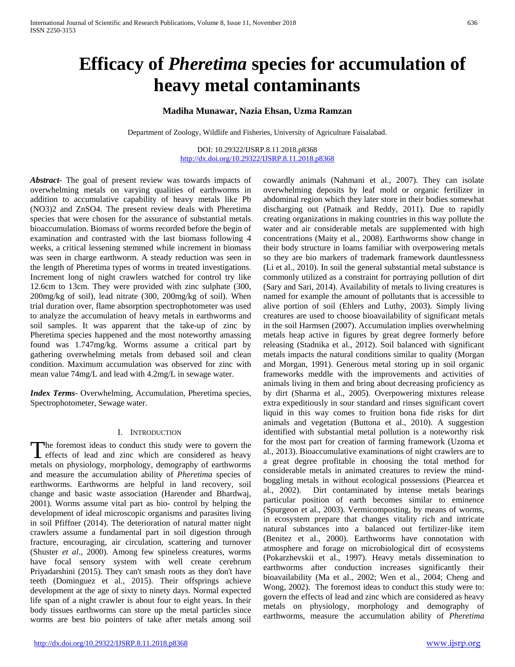# **Efficacy of** *Pheretima* **species for accumulation of heavy metal contaminants**

## **Madiha Munawar, Nazia Ehsan, Uzma Ramzan**

Department of Zoology, Wildlife and Fisheries, University of Agriculture Faisalabad.

DOI: 10.29322/IJSRP.8.11.2018.p8368 <http://dx.doi.org/10.29322/IJSRP.8.11.2018.p8368>

*Abstract***-** The goal of present review was towards impacts of overwhelming metals on varying qualities of earthworms in addition to accumulative capability of heavy metals like Pb (NO3)2 and ZnSO4. The present review deals with Pheretima species that were chosen for the assurance of substantial metals bioaccumulation. Biomass of worms recorded before the begin of examination and contrasted with the last biomass following 4 weeks, a critical lessening stemmed while increment in biomass was seen in charge earthworm. A steady reduction was seen in the length of Pheretima types of worms in treated investigations. Increment long of night crawlers watched for control try like 12.6cm to 13cm. They were provided with zinc sulphate (300, 200mg/kg of soil), lead nitrate (300, 200mg/kg of soil). When trial duration over, flame absorption spectrophotometer was used to analyze the accumulation of heavy metals in earthworms and soil samples. It was apparent that the take-up of zinc by Pheretima species happened and the most noteworthy amassing found was 1.747mg/kg. Worms assume a critical part by gathering overwhelming metals from debased soil and clean condition. Maximum accumulation was observed for zinc with mean value 74mg/L and lead with 4.2mg/L in sewage water.

*Index Terms*- Overwhelming, Accumulation, Pheretima species, Spectrophotometer, Sewage water.

### I. INTRODUCTION

The foremost ideas to conduct this study were to govern the The foremost ideas to conduct this study were to govern the effects of lead and zinc which are considered as heavy metals on physiology, morphology, demography of earthworms and measure the accumulation ability of *Pheretima* species of earthworms. Earthworms are helpful in land recovery, soil change and basic waste association (Harender and Bhardwaj, 2001). Worms assume vital part as bio- control by helping the development of ideal microscopic organisms and parasites living in soil Pfiffner (2014). The deterioration of natural matter night crawlers assume a fundamental part in soil digestion through fracture, encouraging, air circulation, scattering and turnover (Shuster *et al*., 2000). Among few spineless creatures, worms have focal sensory system with well create cerebrum Priyadarshini (2015). They can't smash roots as they don't have teeth (Dominguez et al., 2015). Their offsprings achieve development at the age of sixty to ninety days. Normal expected life span of a night crawler is about four to eight years. In their body tissues earthworms can store up the metal particles since worms are best bio pointers of take after metals among soil

abdominal region which they later store in their bodies somewhat discharging out (Patnaik and Reddy, 2011). Due to rapidly creating organizations in making countries in this way pollute the water and air considerable metals are supplemented with high concentrations (Maity et al., 2008). Earthworms show change in their body structure in loams familiar with overpowering metals so they are bio markers of trademark framework dauntlessness (Li et al., 2010). In soil the general substantial metal substance is commonly utilized as a constraint for portraying pollution of dirt (Sary and Sari, 2014). Availability of metals to living creatures is named for example the amount of pollutants that is accessible to alive portion of soil (Ehlers and Luthy, 2003). Simply living creatures are used to choose bioavailability of significant metals in the soil Harmsen (2007). Accumulation implies overwhelming metals heap active in figures by great degree formerly before releasing (Stadnika et al., 2012). Soil balanced with significant metals impacts the natural conditions similar to quality (Morgan and Morgan, 1991). Generous metal storing up in soil organic frameworks meddle with the improvements and activities of animals living in them and bring about decreasing proficiency as by dirt (Sharma et al., 2005). Overpowering mixtures release extra expeditiously in sour standard and rinses significant covert liquid in this way comes to fruition bona fide risks for dirt animals and vegetation (Buttona et al., 2010). A suggestion identified with substantial metal pollution is a noteworthy risk for the most part for creation of farming framework (Uzoma et al., 2013). Bioaccumulative examinations of night crawlers are to a great degree profitable in choosing the total method for considerable metals in animated creatures to review the mindboggling metals in without ecological possessions (Piearcea et al., 2002). Dirt contaminated by intense metals bearings particular position of earth becomes similar to eminence (Spurgeon et al., 2003). Vermicomposting, by means of worms, in ecosystem prepare that changes vitality rich and intricate natural substances into a balanced out fertilizer-like item (Benitez et al., 2000). Earthworms have connotation with atmosphere and forage on microbiological dirt of ecosystems (Pokarzhevskii et al., 1997). Heavy metals dissemination to earthworms after conduction increases significantly their bioavailability (Ma et al., 2002; Wen et al., 2004; Cheng and Wong, 2002). The foremost ideas to conduct this study were to: govern the effects of lead and zinc which are considered as heavy metals on physiology, morphology and demography of earthworms, measure the accumulation ability of *Pheretima*

cowardly animals (Nahmani et al., 2007). They can isolate overwhelming deposits by leaf mold or organic fertilizer in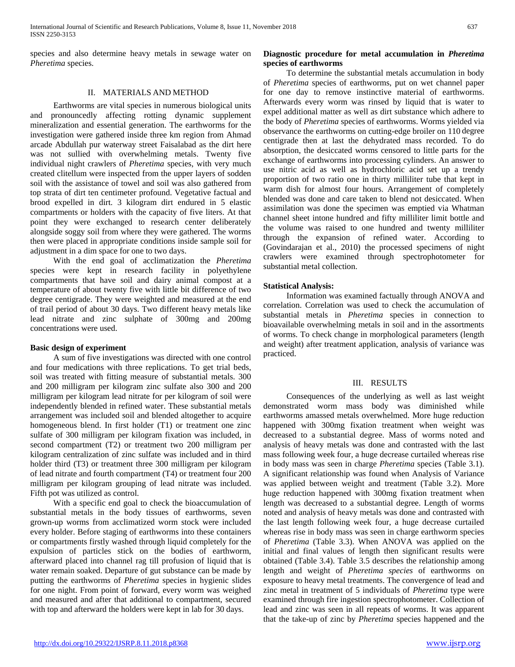species and also determine heavy metals in sewage water on *Pheretima* species.

#### II. MATERIALS AND METHOD

 Earthworms are vital species in numerous biological units and pronouncedly affecting rotting dynamic supplement mineralization and essential generation. The earthworms for the investigation were gathered inside three km region from Ahmad arcade Abdullah pur waterway street Faisalabad as the dirt here was not sullied with overwhelming metals. Twenty five individual night crawlers of *Pheretima* species, with very much created clitellum were inspected from the upper layers of sodden soil with the assistance of towel and soil was also gathered from top strata of dirt ten centimeter profound. Vegetative factual and brood expelled in dirt. 3 kilogram dirt endured in 5 elastic compartments or holders with the capacity of five liters. At that point they were exchanged to research center deliberately alongside soggy soil from where they were gathered. The worms then were placed in appropriate conditions inside sample soil for adjustment in a dim space for one to two days.

 With the end goal of acclimatization the *Pheretima* species were kept in research facility in polyethylene compartments that have soil and dairy animal compost at a temperature of about twenty five with little bit difference of two degree centigrade. They were weighted and measured at the end of trail period of about 30 days. Two different heavy metals like lead nitrate and zinc sulphate of 300mg and 200mg concentrations were used.

### **Basic design of experiment**

 A sum of five investigations was directed with one control and four medications with three replications. To get trial beds, soil was treated with fitting measure of substantial metals. 300 and 200 milligram per kilogram zinc sulfate also 300 and 200 milligram per kilogram lead nitrate for per kilogram of soil were independently blended in refined water. These substantial metals arrangement was included soil and blended altogether to acquire homogeneous blend. In first holder (T1) or treatment one zinc sulfate of 300 milligram per kilogram fixation was included, in second compartment (T2) or treatment two 200 milligram per kilogram centralization of zinc sulfate was included and in third holder third (T3) or treatment three 300 milligram per kilogram of lead nitrate and fourth compartment (T4) or treatment four 200 milligram per kilogram grouping of lead nitrate was included. Fifth pot was utilized as control.

 With a specific end goal to check the bioaccumulation of substantial metals in the body tissues of earthworms, seven grown-up worms from acclimatized worm stock were included every holder. Before staging of earthworms into these containers or compartments firstly washed through liquid completely for the expulsion of particles stick on the bodies of earthworm, afterward placed into channel rag till profusion of liquid that is water remain soaked. Departure of gut substance can be made by putting the earthworms of *Pheretima* species in hygienic slides for one night. From point of forward, every worm was weighed and measured and after that additional to compartment, secured with top and afterward the holders were kept in lab for 30 days.

## **Diagnostic procedure for metal accumulation in** *Pheretima* **species of earthworms**

 To determine the substantial metals accumulation in body of *Pheretima* species of earthworms, put on wet channel paper for one day to remove instinctive material of earthworms. Afterwards every worm was rinsed by liquid that is water to expel additional matter as well as dirt substance which adhere to the body of *Pheretima* species of earthworms. Worms yielded via observance the earthworms on cutting-edge broiler on 110 degree centigrade then at last the dehydrated mass recorded. To do absorption, the desiccated worms censored to little parts for the exchange of earthworms into processing cylinders. An answer to use nitric acid as well as hydrochloric acid set up a trendy proportion of two ratio one in thirty milliliter tube that kept in warm dish for almost four hours. Arrangement of completely blended was done and care taken to blend not desiccated. When assimilation was done the specimen was emptied via Whatman channel sheet intone hundred and fifty milliliter limit bottle and the volume was raised to one hundred and twenty milliliter through the expansion of refined water. According to (Govindarajan et al., 2010) the processed specimens of night crawlers were examined through spectrophotometer for substantial metal collection.

### **Statistical Analysis:**

 Information was examined factually through ANOVA and correlation. Correlation was used to check the accumulation of substantial metals in *Pheretima* species in connection to bioavailable overwhelming metals in soil and in the assortments of worms. To check change in morphological parameters (length and weight) after treatment application, analysis of variance was practiced.

### III. RESULTS

 Consequences of the underlying as well as last weight demonstrated worm mass body was diminished while earthworms amassed metals overwhelmed. More huge reduction happened with 300mg fixation treatment when weight was decreased to a substantial degree. Mass of worms noted and analysis of heavy metals was done and contrasted with the last mass following week four, a huge decrease curtailed whereas rise in body mass was seen in charge *Pheretima* species (Table 3.1). A significant relationship was found when Analysis of Variance was applied between weight and treatment (Table 3.2). More huge reduction happened with 300mg fixation treatment when length was decreased to a substantial degree. Length of worms noted and analysis of heavy metals was done and contrasted with the last length following week four, a huge decrease curtailed whereas rise in body mass was seen in charge earthworm species of *Pheretima* (Table 3.3). When ANOVA was applied on the initial and final values of length then significant results were obtained (Table 3.4). Table 3.5 describes the relationship among length and weight of *Pheretima species* of earthworms on exposure to heavy metal treatments. The convergence of lead and zinc metal in treatment of 5 individuals of *Pheretima* type were examined through fire ingestion spectrophotometer. Collection of lead and zinc was seen in all repeats of worms. It was apparent that the take-up of zinc by *Pheretima* species happened and the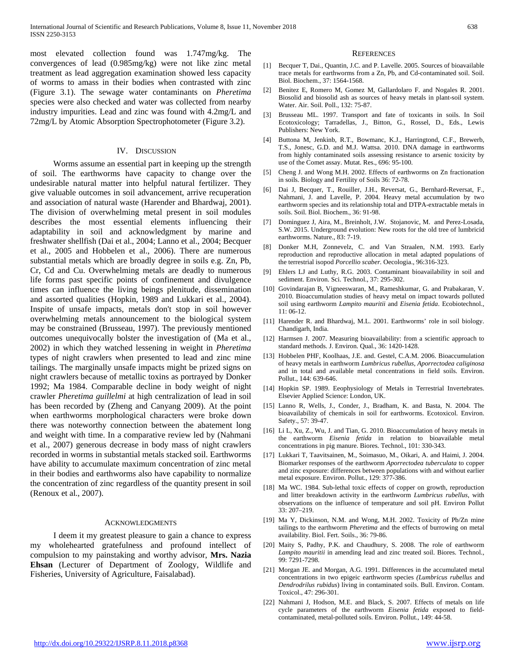most elevated collection found was 1.747mg/kg. The convergences of lead (0.985mg/kg) were not like zinc metal treatment as lead aggregation examination showed less capacity of worms to amass in their bodies when contrasted with zinc (Figure 3.1). The sewage water contaminants on *Pheretima* species were also checked and water was collected from nearby industry impurities. Lead and zinc was found with 4.2mg/L and 72mg/L by Atomic Absorption Spectrophotometer (Figure 3.2).

#### IV. DISCUSSION

 Worms assume an essential part in keeping up the strength of soil. The earthworms have capacity to change over the undesirable natural matter into helpful natural fertilizer. They give valuable outcomes in soil advancement, arrive recuperation and association of natural waste (Harender and Bhardwaj, 2001). The division of overwhelming metal present in soil modules describes the most essential elements influencing their adaptability in soil and acknowledgment by marine and freshwater shellfish (Dai et al., 2004; Lanno et al., 2004; Becquer et al., 2005 and Hobbelen et al., 2006). There are numerous substantial metals which are broadly degree in soils e.g. Zn, Pb, Cr, Cd and Cu. Overwhelming metals are deadly to numerous life forms past specific points of confinement and divulgence times can influence the living beings plenitude, dissemination and assorted qualities (Hopkin, 1989 and Lukkari et al., 2004). Inspite of unsafe impacts, metals don't stop in soil however overwhelming metals announcement to the biological system may be constrained (Brusseau, 1997). The previously mentioned outcomes unequivocally bolster the investigation of (Ma et al., 2002) in which they watched lessening in weight in *Pheretima* types of night crawlers when presented to lead and zinc mine tailings. The marginally unsafe impacts might be prized signs on night crawlers because of metallic toxins as portrayed by Donker 1992; Ma 1984. Comparable decline in body weight of night crawler *Pheretima guillelmi* at high centralization of lead in soil has been recorded by (Zheng and Canyang 2009). At the point when earthworms morphological characters were broke down there was noteworthy connection between the abatement long and weight with time. In a comparative review led by (Nahmani et al., 2007) generous decrease in body mass of night crawlers recorded in worms in substantial metals stacked soil. Earthworms have ability to accumulate maximum concentration of zinc metal in their bodies and earthworms also have capability to normalize the concentration of zinc regardless of the quantity present in soil (Renoux et al., 2007).

#### **ACKNOWLEDGMENTS**

 I deem it my greatest pleasure to gain a chance to express my wholehearted gratefulness and profound intellect of compulsion to my painstaking and worthy advisor, **Mrs. Nazia Ehsan** (Lecturer of Department of Zoology, Wildlife and Fisheries, University of Agriculture, Faisalabad).

#### **REFERENCES**

- [1] Becquer T, Dai., Quantin, J.C. and P. Lavelle. 2005. Sources of bioavailable trace metals for earthworms from a Zn, Pb, and Cd-contaminated soil. Soil. Biol. Biochem., 37: 1564-1568.
- [2] Benitez E, Romero M, Gomez M, Gallardolaro F. and Nogales R. 2001. Biosolid and biosolid ash as sources of heavy metals in plant-soil system. Water. Air. Soil. Poll., 132: 75-87.
- [3] Brusseau ML. 1997. Transport and fate of toxicants in soils. In Soil Ecotoxicology; Tarradellas, J., Bitton, G., Rossel, D., Eds., Lewis Publishers: New York.
- [4] Buttona M, Jenkinb, R.T., Bowmanc, K.J., Harringtond, C.F., Brewerb, T.S., Jonesc, G.D. and M.J. Wattsa. 2010. DNA damage in earthworms from highly contaminated soils assessing resistance to arsenic toxicity by use of the Comet assay. Mutat. Res., 696: 95-100.
- [5] Cheng J. and Wong M.H. 2002. Effects of earthworms on Zn fractionation in soils. Biology and Fertility of Soils 36: 72-78.
- [6] Dai J, Becquer, T., Rouiller, J.H., Reversat, G., Bernhard-Reversat, F., Nahmani, J. and Lavelle, P. 2004. Heavy metal accumulation by two earthworm species and its relationship total and DTPA-extractable metals in soils. Soil. Biol. Biochem., 36: 91-98.
- [7] Dominguez J, Aira, M., Breinholt, J.W. Stojanovic, M. and Perez-Losada, S.W. 2015. Underground evolution: New roots for the old tree of lumbricid earthworms. Nature., 83: 7-19.
- [8] Donker M.H, Zonnevelz, C. and Van Straalen, N.M. 1993. Early reproduction and reproductive allocation in metal adapted populations of the terrestrial isopod *Porcellio scaber.* Oecologia., 96:316-323.
- [9] Ehlers LJ and Luthy, R.G. 2003. Contaminant bioavailability in soil and sediment. Environ. Sci. Technol., 37: 295-302.
- [10] Govindarajan B, Vigneeswaran, M., Rameshkumar, G. and Prabakaran, V. 2010. Bioaccumulation studies of heavy metal on impact towards polluted soil using earthworm *Lampito mauritii* and *Eisenia fetida*. Ecobiotechnol., 11: 06-12.
- [11] Harender R. and Bhardwaj, M.L. 2001. Earthworms' role in soil biology. Chandigarh, India.
- [12] Harmsen J. 2007. Measuring bioavailability: from a scientific approach to standard methods. J. Environ. Qual., 36: 1420-1428.
- [13] Hobbelen PHF, Koolhaas, J.E. and. Gestel, C.A.M. 2006. Bioaccumulation of heavy metals in earthworm *Lumbricus rubellus, Aporrectodea caliginosa* and in total and available metal concentrations in field soils. Environ. Pollut., 144: 639-646.
- [14] Hopkin SP. 1989. Eeophysiology of Metals in Terrestrial Invertebrates. Elsevier Applied Science: London, UK.
- [15] Lanno R, Wells, J., Conder, J., Bradham, K. and Basta, N. 2004. The bioavailability of chemicals in soil for earthworms. Ecotoxicol. Environ. Safety., 57: 39-47.
- [16] Li L, Xu, Z., Wu, J. and Tian, G. 2010. Bioaccumulation of heavy metals in the earthworm *Eisenia fetida* in relation to bioavailable metal concentrations in pig manure. Biores. Technol., 101: 330-343.
- [17] Lukkari T, Taavitsainen, M., Soimasuo, M., Oikari, A. and Haimi, J. 2004. Biomarker responses of the earthworm *Aporrectodea tuberculata* to copper and zinc exposure: differences between populations with and without earlier metal exposure. Environ. Pollut., 129: 377-386.
- [18] Ma WC. 1984. Sub-lethal toxic effects of copper on growth, reproduction and litter breakdown activity in the earthworm *Lumbricus rubellus*, with observations on the influence of temperature and soil pH. Environ Pollut 33: 207–219.
- [19] Ma Y, Dickinson, N.M. and Wong, M.H. 2002. Toxicity of Pb/Zn mine tailings to the earthworm *Pheretima* and the effects of burrowing on metal availability. Biol. Fert. Soils., 36: 79-86.
- [20] Maity S, Padhy, P.K. and Chaudhury, S. 2008. The role of earthworm *Lampito mauritii* in amending lead and zinc treated soil. Biores. Technol., 99: 7291-7298.
- [21] Morgan JE. and Morgan, A.G. 1991. Differences in the accumulated metal concentrations in two epigeic earthworm species *(Lumbricus rubellus* and *Dendrodrilus rubidus*) living in contaminated soils. Bull. Environ. Contam. Toxicol., 47: 296-301.
- [22] Nahmani J, Hodson, M.E. and Black, S. 2007. Effects of metals on life cycle parameters of the earthworm *Eisenia fetida* exposed to fieldcontaminated, metal-polluted soils. Environ. Pollut., 149: 44-58.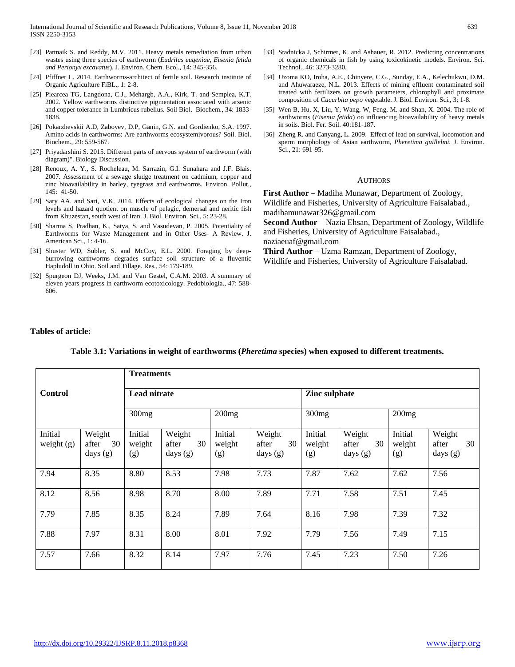- [23] Pattnaik S. and Reddy, M.V. 2011. Heavy metals remediation from urban wastes using three species of earthworm (*Eudrilus eugeniae, Eisenia fetida and Perionyx excavatus*). J. Environ. Chem. Ecol., 14: 345-356.
- [24] Pfiffner L. 2014. Earthworms-architect of fertile soil. Research institute of Organic Agriculture FiBL., 1: 2-8.
- [25] Piearcea TG, Langdona, C.J., Mehargb, A.A., Kirk, T. and Semplea, K.T. 2002. Yellow earthworms distinctive pigmentation associated with arsenic and copper tolerance in Lumbricus rubellus. Soil Biol. Biochem., 34: 1833- 1838.
- [26] Pokarzhevskii A.D, Zaboyev, D.P, Ganin, G.N. and Gordienko, S.A. 1997. Amino acids in earthworms: Are earthworms ecosystemivorous? Soil. Biol. Biochem., 29: 559-567.
- [27] Priyadarshini S. 2015. Different parts of nervous system of earthworm (with diagram)". Biology Discussion.
- [28] Renoux, A. Y., S. Rocheleau, M. Sarrazin, G.I. Sunahara and J.F. Blais. 2007. Assessment of a sewage sludge treatment on cadmium, copper and zinc bioavailability in barley, ryegrass and earthworms. Environ. Pollut., 145: 41-50.
- [29] Sary AA. and Sari, V.K. 2014. Effects of ecological changes on the Iron levels and hazard quotient on muscle of pelagic, demersal and neritic fish from Khuzestan, south west of Iran. J. Biol. Environ. Sci., 5: 23-28.
- [30] Sharma S, Pradhan, K., Satya, S. and Vasudevan, P. 2005. Potentiality of Earthworms for Waste Management and in Other Uses- A Review. J. American Sci., 1: 4-16.
- [31] Shuster WD, Subler, S. and McCoy, E.L. 2000. Foraging by deepburrowing earthworms degrades surface soil structure of a fluventic Hapludoll in Ohio. Soil and Tillage. Res*.*, 54: 179-189.
- [32] Spurgeon DJ, Weeks, J.M. and Van Gestel, C.A.M. 2003. A summary of eleven years progress in earthworm ecotoxicology. Pedobiologia., 47: 588- 606.
- [33] Stadnicka J, Schirmer, K. and Ashauer, R. 2012. Predicting concentrations of organic chemicals in fish by using toxicokinetic models. Environ. Sci. Technol., 46: 3273-3280.
- [34] Uzoma KO, Iroha, A.E., Chinyere, C.G., Sunday, E.A., Kelechukwu, D.M. and Ahuwaraeze, N.L. 2013. Effects of mining effluent contaminated soil treated with fertilizers on growth parameters, chlorophyll and proximate composition of *Cucurbita pepo* vegetable. J. Biol. Environ. Sci., 3: 1-8.
- [35] Wen B, Hu, X, Liu, Y, Wang, W, Feng, M. and Shan, X. 2004. The role of earthworms (*Eisenia fetida*) on influencing bioavailability of heavy metals in soils. Biol. Fer. Soil. 40:181-187.
- [36] Zheng R. and Canyang, L. 2009. Effect of lead on survival, locomotion and sperm morphology of Asian earthworm, *Pheretima guillelmi.* J. Environ. Sci., 21: 691-95.

#### AUTHORS

**First Author** – Madiha Munawar, Department of Zoology, Wildlife and Fisheries, University of Agriculture Faisalabad., madihamunawar326@gmail.com

**Second Author** – Nazia Ehsan, Department of Zoology, Wildlife and Fisheries, University of Agriculture Faisalabad., naziaeuaf@gmail.com

**Third Author** – Uzma Ramzan, Department of Zoology, Wildlife and Fisheries, University of Agriculture Faisalabad.

#### **Tables of article:**

|                         |                                     | <b>Treatments</b>        |                                     |                          |                                     |                          |                                     |                          |                                     |
|-------------------------|-------------------------------------|--------------------------|-------------------------------------|--------------------------|-------------------------------------|--------------------------|-------------------------------------|--------------------------|-------------------------------------|
| <b>Control</b>          |                                     | <b>Lead nitrate</b>      |                                     |                          |                                     | Zinc sulphate            |                                     |                          |                                     |
|                         |                                     | 300mg                    |                                     | 200mg                    |                                     | 300mg                    |                                     | 200mg                    |                                     |
| Initial<br>weight $(g)$ | Weight<br>30<br>after<br>days $(g)$ | Initial<br>weight<br>(g) | Weight<br>30<br>after<br>days $(g)$ | Initial<br>weight<br>(g) | Weight<br>30<br>after<br>days $(g)$ | Initial<br>weight<br>(g) | Weight<br>30<br>after<br>days $(g)$ | Initial<br>weight<br>(g) | Weight<br>30<br>after<br>days $(g)$ |
| 7.94                    | 8.35                                | 8.80                     | 8.53                                | 7.98                     | 7.73                                | 7.87                     | 7.62                                | 7.62                     | 7.56                                |
| 8.12                    | 8.56                                | 8.98                     | 8.70                                | 8.00                     | 7.89                                | 7.71                     | 7.58                                | 7.51                     | 7.45                                |
| 7.79                    | 7.85                                | 8.35                     | 8.24                                | 7.89                     | 7.64                                | 8.16                     | 7.98                                | 7.39                     | 7.32                                |
| 7.88                    | 7.97                                | 8.31                     | 8.00                                | 8.01                     | 7.92                                | 7.79                     | 7.56                                | 7.49                     | 7.15                                |
| 7.57                    | 7.66                                | 8.32                     | 8.14                                | 7.97                     | 7.76                                | 7.45                     | 7.23                                | 7.50                     | 7.26                                |

**Table 3.1: Variations in weight of earthworms (***Pheretima* **species) when exposed to different treatments.**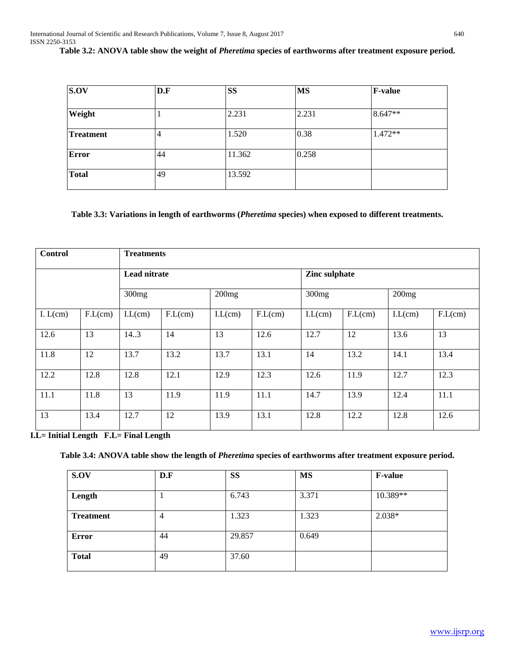**Table 3.2: ANOVA table show the weight of** *Pheretima* **species of earthworms after treatment exposure period.**

| S.OV             | D.F | <b>SS</b> | <b>MS</b> | <b>F-value</b> |
|------------------|-----|-----------|-----------|----------------|
|                  |     |           |           |                |
| Weight           |     | 2.231     | 2.231     | 8.647**        |
| <b>Treatment</b> | 4   | 1.520     | 0.38      | 1.472**        |
| Error            | 44  | 11.362    | 0.258     |                |
| <b>Total</b>     | 49  | 13.592    |           |                |

# **Table 3.3: Variations in length of earthworms (***Pheretima* **species) when exposed to different treatments.**

| <b>Control</b> |         | <b>Treatments</b> |         |        |         |                   |         |        |         |
|----------------|---------|-------------------|---------|--------|---------|-------------------|---------|--------|---------|
|                |         | Lead nitrate      |         |        |         | Zinc sulphate     |         |        |         |
|                |         | 300mg             |         | 200mg  |         | 300 <sub>mg</sub> |         | 200mg  |         |
| I. $L(cm)$     | F.L(cm) | LL(cm)            | F.L(cm) | LL(cm) | F.L(cm) | LL(cm)            | F.L(cm) | LL(cm) | F.L(cm) |
| 12.6           | 13      | 14.3              | 14      | 13     | 12.6    | 12.7              | 12      | 13.6   | 13      |
| 11.8           | 12      | 13.7              | 13.2    | 13.7   | 13.1    | 14                | 13.2    | 14.1   | 13.4    |
| 12.2           | 12.8    | 12.8              | 12.1    | 12.9   | 12.3    | 12.6              | 11.9    | 12.7   | 12.3    |
| 11.1           | 11.8    | 13                | 11.9    | 11.9   | 11.1    | 14.7              | 13.9    | 12.4   | 11.1    |
| 13             | 13.4    | 12.7              | 12      | 13.9   | 13.1    | 12.8              | 12.2    | 12.8   | 12.6    |

**I.L= Initial Length F.L= Final Length**

**Table 3.4: ANOVA table show the length of** *Pheretima* **species of earthworms after treatment exposure period.**

| S.OV             | D.F            | <b>SS</b> | <b>MS</b> | <b>F-value</b> |
|------------------|----------------|-----------|-----------|----------------|
| Length           |                | 6.743     | 3.371     | 10.389**       |
| <b>Treatment</b> | $\overline{4}$ | 1.323     | 1.323     | $2.038*$       |
| <b>Error</b>     | 44             | 29.857    | 0.649     |                |
| <b>Total</b>     | 49             | 37.60     |           |                |